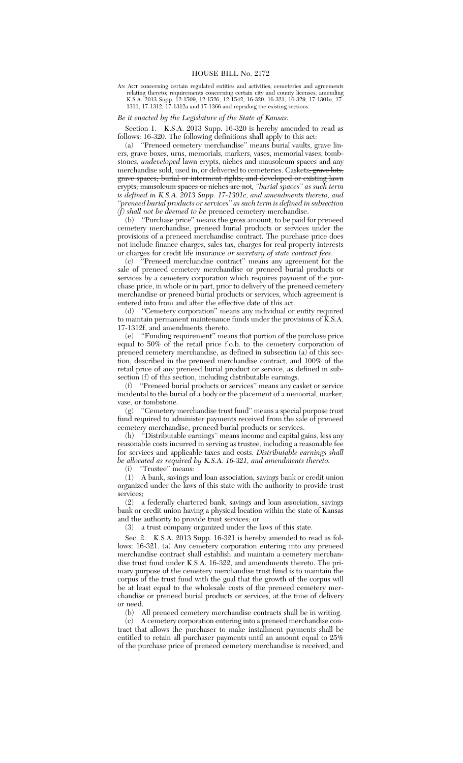AN ACT concerning certain regulated entities and activities; cemeteries and agreements relating thereto; requirements concerning certain city and county licenses; amending K.S.A. 2013 Supp. 12-1509, 12-1526, 12-1542, 16-320, 16-321, 16-329, 17-1301c, 17- 1311, 17-1312, 17-1312a and 17-1366 and repealing the existing sections.

## *Be it enacted by the Legislature of the State of Kansas:*

Section 1. K.S.A. 2013 Supp. 16-320 is hereby amended to read as follows: 16-320. The following definitions shall apply to this act:

(a) ''Preneed cemetery merchandise'' means burial vaults, grave liners, grave boxes, urns, memorials, markers, vases, memorial vases, tombstones, *undeveloped* lawn crypts, niches and mausoleum spaces and any merchandise sold, used in, or delivered to cemeteries. Caskets<del>, grave lots,</del> grave spaces; burial or interment rights; and developed or existing lawn crypts, mausoleum spaces or niches are not*, ''burial spaces'' as such term is defined in K.S.A. 2013 Supp. 17-1301c, and amendments thereto, and ''preneed burial products or services'' as such term is defined in subsection (f) shall not be deemed to be* preneed cemetery merchandise.

(b) ''Purchase price'' means the gross amount, to be paid for preneed cemetery merchandise, preneed burial products or services under the provisions of a preneed merchandise contract. The purchase price does not include finance charges, sales tax, charges for real property interests or charges for credit life insurance *or secretary of state contract fees*.

(c) ''Preneed merchandise contract'' means any agreement for the sale of preneed cemetery merchandise or preneed burial products or services by a cemetery corporation which requires payment of the purchase price, in whole or in part, prior to delivery of the preneed cemetery merchandise or preneed burial products or services, which agreement is entered into from and after the effective date of this act.<br>(d) "Cemetery corporation" means any individual or

"Cemetery corporation" means any individual or entity required to maintain permanent maintenance funds under the provisions of  $\bar{K}$ . S.A. 17-1312f, and amendments thereto.<br>(e) "Funding requirement" mea

"Funding requirement" means that portion of the purchase price equal to 50% of the retail price f.o.b. to the cemetery corporation of preneed cemetery merchandise, as defined in subsection (a) of this section, described in the preneed merchandise contract, and 100% of the retail price of any preneed burial product or service, as defined in subsection (f) of this section, including distributable earnings.

(f) ''Preneed burial products or services'' means any casket or service incidental to the burial of a body or the placement of a memorial, marker, vase, or tombstone.

(g) ''Cemetery merchandise trust fund'' means a special purpose trust fund required to administer payments received from the sale of preneed cemetery merchandise, preneed burial products or services.

(h) ''Distributable earnings'' means income and capital gains, less any reasonable costs incurred in serving as trustee, including a reasonable fee for services and applicable taxes and costs. *Distributable earnings shall be allocated as required by K.S.A. 16-321, and amendments thereto.*

(i) ''Trustee'' means:

(1) A bank, savings and loan association, savings bank or credit union organized under the laws of this state with the authority to provide trust services;

(2) a federally chartered bank, savings and loan association, savings bank or credit union having a physical location within the state of Kansas and the authority to provide trust services; or

(3) a trust company organized under the laws of this state.

Sec. 2. K.S.A. 2013 Supp. 16-321 is hereby amended to read as follows: 16-321. (a) Any cemetery corporation entering into any preneed merchandise contract shall establish and maintain a cemetery merchandise trust fund under K.S.A. 16-322, and amendments thereto. The primary purpose of the cemetery merchandise trust fund is to maintain the corpus of the trust fund with the goal that the growth of the corpus will be at least equal to the wholesale costs of the preneed cemetery merchandise or preneed burial products or services, at the time of delivery or need.

(b) All preneed cemetery merchandise contracts shall be in writing.<br>(c) A cemetery corporation entering into a preneed merchandise con-

A cemetery corporation entering into a preneed merchandise contract that allows the purchaser to make installment payments shall be entitled to retain all purchaser payments until an amount equal to 25% of the purchase price of preneed cemetery merchandise is received, and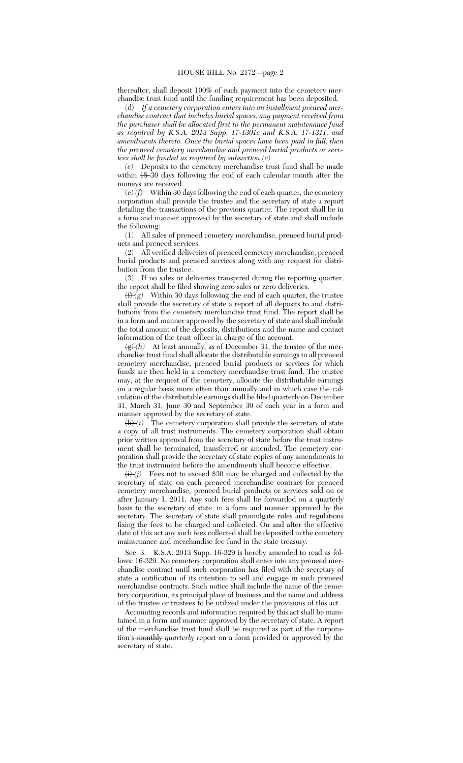thereafter, shall deposit 100% of each payment into the cemetery merchandise trust fund until the funding requirement has been deposited.

(d) *If a cemetery corporation enters into an installment preneed merchandise contract that includes burial spaces, any payment received from the purchaser shall be allocated first to the permanent maintenance fund as required by K.S.A. 2013 Supp. 17-1301c and K.S.A. 17-1311, and amendments thereto. Once the burial spaces have been paid in full, then the preneed cemetery merchandise and preneed burial products or services shall be funded as required by subsection (c).*

*(e)* Deposits to the cemetery merchandise trust fund shall be made within  $\frac{15}{20}$  days following the end of each calendar month after the moneys are received.

 $\langle e \rangle$  *(f)* Within 30 days following the end of each quarter, the cemetery corporation shall provide the trustee and the secretary of state a report detailing the transactions of the previous quarter. The report shall be in a form and manner approved by the secretary of state and shall include the following:

(1) All sales of preneed cemetery merchandise, preneed burial products and preneed services.

(2) All verified deliveries of preneed cemetery merchandise, preneed burial products and preneed services along with any request for distribution from the trustee.

(3) If no sales or deliveries transpired during the reporting quarter, the report shall be filed showing zero sales or zero deliveries.

 $\left(\frac{f}{f}\right)^{7}(g)$  Within 30 days following the end of each quarter, the trustee shall provide the secretary of state a report of all deposits to and distributions from the cemetery merchandise trust fund. The report shall be in a form and manner approved by the secretary of state and shall include the total amount of the deposits, distributions and the name and contact information of the trust officer in charge of the account.

 $(g)(h)$  At least annually, as of December 31, the trustee of the merchandise trust fund shall allocate the distributable earnings to all preneed cemetery merchandise, preneed burial products or services for which funds are then held in a cemetery merchandise trust fund. The trustee may, at the request of the cemetery, allocate the distributable earnings on a regular basis more often than annually and in which case the calculation of the distributable earnings shall be filed quarterly on December 31, March 31, June 30 and September 30 of each year in a form and manner approved by the secretary of state.

 $\frac{h}{i}(i)$  The cemetery corporation shall provide the secretary of state a copy of all trust instruments. The cemetery corporation shall obtain prior written approval from the secretary of state before the trust instrument shall be terminated, transferred or amended. The cemetery corporation shall provide the secretary of state copies of any amendments to the trust instrument before the amendments shall become effective.

 $\langle i \rangle$  *(i)* Fees not to exceed \$30 may be charged and collected by the secretary of state on each preneed merchandise contract for preneed cemetery merchandise, preneed burial products or services sold on or after January 1, 2011. Any such fees shall be forwarded on a quarterly basis to the secretary of state, in a form and manner approved by the secretary. The secretary of state shall promulgate rules and regulations fixing the fees to be charged and collected. On and after the effective date of this act any such fees collected shall be deposited in the cemetery maintenance and merchandise fee fund in the state treasury.

Sec. 3. K.S.A. 2013 Supp. 16-329 is hereby amended to read as follows: 16-329. No cemetery corporation shall enter into any preneed merchandise contract until such corporation has filed with the secretary of state a notification of its intention to sell and engage in such preneed merchandise contracts. Such notice shall include the name of the cemetery corporation, its principal place of business and the name and address of the trustee or trustees to be utilized under the provisions of this act.

Accounting records and information required by this act shall be maintained in a form and manner approved by the secretary of state. A report of the merchandise trust fund shall be required as part of the corporation's monthly *quarterly* report on a form provided or approved by the secretary of state.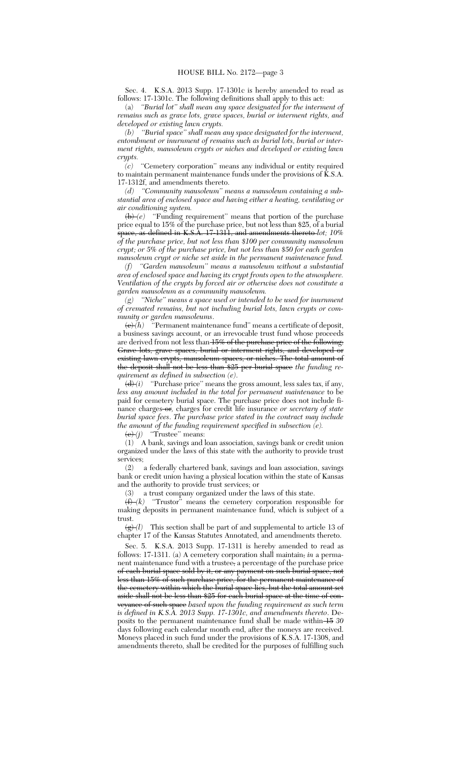Sec. 4. K.S.A. 2013 Supp. 17-1301c is hereby amended to read as follows: 17-1301c. The following definitions shall apply to this act:

(a) *''Burial lot'' shall mean any space designated for the interment of remains such as grave lots, grave spaces, burial or interment rights, and developed or existing lawn crypts.*

*(b) ''Burial space'' shall mean any space designated for the interment, entombment or inurnment of remains such as burial lots, burial or interment rights, mausoleum crypts or niches and developed or existing lawn crypts.*

*(c)* ''Cemetery corporation'' means any individual or entity required to maintain permanent maintenance funds under the provisions of K.S.A. 17-1312f, and amendments thereto.

*(d) ''Community mausoleum'' means a mausoleum containing a substantial area of enclosed space and having either a heating, ventilating or air conditioning system.*

 $\overline{(b)}(e)$  "Funding requirement" means that portion of the purchase price equal to 15% of the purchase price, but not less than \$25, of a burial space, as defined in K.S.A. 17-1311, and amendments thereto *lot; 10% of the purchase price, but not less than \$100 per community mausoleum crypt; or 5% of the purchase price, but not less than \$50 for each garden mausoleum crypt or niche set aside in the permanent maintenance fund.*

*(f) ''Garden mausoleum'' means a mausoleum without a substantial area of enclosed space and having its crypt fronts open to the atmosphere. Ventilation of the crypts by forced air or otherwise does not constitute a garden mausoleum as a community mausoleum.*

*(g) ''Niche'' means a space used or intended to be used for inurnment of cremated remains, but not including burial lots, lawn crypts or community or garden mausoleums.*<br><del>(e)</del>*(h)* "Permanent mainter

<sup>"</sup>Permanent maintenance fund" means a certificate of deposit, a business savings account, or an irrevocable trust fund whose proceeds are derived from not less than 15% of the purchase price of the following: Grave lots, grave spaces, burial or interment rights, and developed or existing lawn crypts, mausoleum spaces, or niches. The total amount of the deposit shall not be less than \$25 per burial space *the funding requirement as defined in subsection (e)*.

 $\left(\frac{d}{d}\right)$  "Purchase price" means the gross amount, less sales tax, if any, *less any amount included in the total for permanent maintenance* to be paid for cemetery burial space. The purchase price does not include finance charges or*,* charges for credit life insurance *or secretary of state burial space fees*. *The purchase price stated in the contract may include the amount of the funding requirement specified in subsection (e).*

 $\overleftrightarrow{(e)}(j)$  "Trustee" means:

(1) A bank, savings and loan association, savings bank or credit union organized under the laws of this state with the authority to provide trust services;

(2) a federally chartered bank, savings and loan association, savings bank or credit union having a physical location within the state of Kansas and the authority to provide trust services; or

(3) a trust company organized under the laws of this state.

 $\overrightarrow{(f)}(k)$  "Trustor" means the cemetery corporation responsible for making deposits in permanent maintenance fund, which is subject of a trust.<br> $\frac{1}{\left(\frac{c}{c}\right)^{2}}$ 

This section shall be part of and supplemental to article 13 of chapter 17 of the Kansas Statutes Annotated, and amendments thereto.

Sec. 5. K.S.A. 2013 Supp. 17-1311 is hereby amended to read as follows: 17-1311. (a) A cemetery corporation shall maintain, *in* a permanent maintenance fund with a trustee, a percentage of the purchase price of each burial space sold by it, or any payment on such burial space, not less than 15% of such purchase price, for the permanent maintenance of the cemetery within which the burial space lies, but the total amount set aside shall not be less than \$25 for each burial space at the time of conveyance of such space *based upon the funding requirement as such term is defined in K.S.A. 2013 Supp. 17-1301c, and amendments thereto*. Deposits to the permanent maintenance fund shall be made within 15 *30* days following each calendar month end, after the moneys are received. Moneys placed in such fund under the provisions of K.S.A. 17-1308, and amendments thereto, shall be credited for the purposes of fulfilling such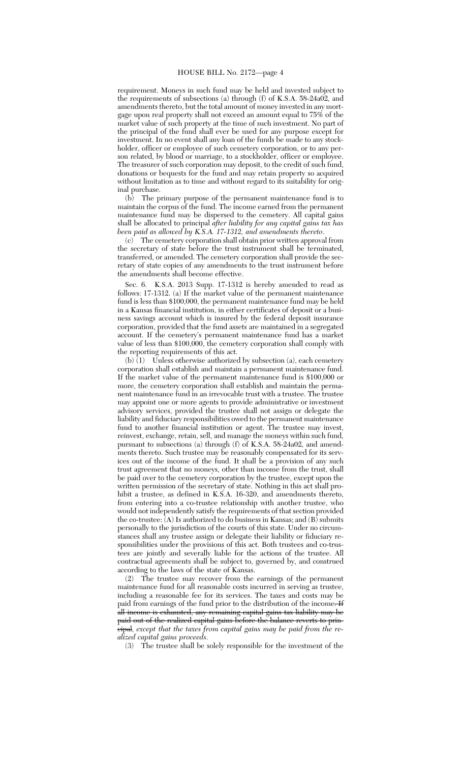requirement. Moneys in such fund may be held and invested subject to the requirements of subsections (a) through (f) of K.S.A. 58-24a02, and amendments thereto, but the total amount of money invested in any mortgage upon real property shall not exceed an amount equal to 75% of the market value of such property at the time of such investment. No part of the principal of the fund shall ever be used for any purpose except for investment. In no event shall any loan of the funds be made to any stockholder, officer or employee of such cemetery corporation, or to any person related, by blood or marriage, to a stockholder, officer or employee. The treasurer of such corporation may deposit, to the credit of such fund, donations or bequests for the fund and may retain property so acquired without limitation as to time and without regard to its suitability for original purchase.

(b) The primary purpose of the permanent maintenance fund is to maintain the corpus of the fund. The income earned from the permanent maintenance fund may be dispersed to the cemetery. All capital gains shall be allocated to principal *after liability for any capital gains tax has been paid as allowed by K.S.A. 17-1312, and amendments thereto*.

(c) The cemetery corporation shall obtain prior written approval from the secretary of state before the trust instrument shall be terminated, transferred, or amended. The cemetery corporation shall provide the secretary of state copies of any amendments to the trust instrument before the amendments shall become effective.

Sec. 6. K.S.A. 2013 Supp. 17-1312 is hereby amended to read as follows: 17-1312. (a) If the market value of the permanent maintenance fund is less than \$100,000, the permanent maintenance fund may be held in a Kansas financial institution, in either certificates of deposit or a business savings account which is insured by the federal deposit insurance corporation, provided that the fund assets are maintained in a segregated account. If the cemetery's permanent maintenance fund has a market value of less than \$100,000, the cemetery corporation shall comply with the reporting requirements of this act.

(b) (1) Unless otherwise authorized by subsection (a), each cemetery corporation shall establish and maintain a permanent maintenance fund. If the market value of the permanent maintenance fund is \$100,000 or more, the cemetery corporation shall establish and maintain the permanent maintenance fund in an irrevocable trust with a trustee. The trustee may appoint one or more agents to provide administrative or investment advisory services, provided the trustee shall not assign or delegate the liability and fiduciary responsibilities owed to the permanent maintenance fund to another financial institution or agent. The trustee may invest, reinvest, exchange, retain, sell, and manage the moneys within such fund, pursuant to subsections (a) through (f) of K.S.A. 58-24a02, and amendments thereto. Such trustee may be reasonably compensated for its services out of the income of the fund. It shall be a provision of any such trust agreement that no moneys, other than income from the trust, shall be paid over to the cemetery corporation by the trustee, except upon the written permission of the secretary of state. Nothing in this act shall prohibit a trustee, as defined in K.S.A. 16-320, and amendments thereto, from entering into a co-trustee relationship with another trustee, who would not independently satisfy the requirements of that section provided the co-trustee: (A) Is authorized to do business in Kansas; and (B) submits personally to the jurisdiction of the courts of this state. Under no circumstances shall any trustee assign or delegate their liability or fiduciary responsibilities under the provisions of this act. Both trustees and co-trustees are jointly and severally liable for the actions of the trustee. All contractual agreements shall be subject to, governed by, and construed according to the laws of the state of Kansas.

(2) The trustee may recover from the earnings of the permanent maintenance fund for all reasonable costs incurred in serving as trustee, including a reasonable fee for its services. The taxes and costs may be paid from earnings of the fund prior to the distribution of the income. If all income is exhausted, any remaining capital gains tax liability may be paid out of the realized capital gains before the balance reverts to principal*, except that the taxes from capital gains may be paid from the realized capital gains proceeds*.

(3) The trustee shall be solely responsible for the investment of the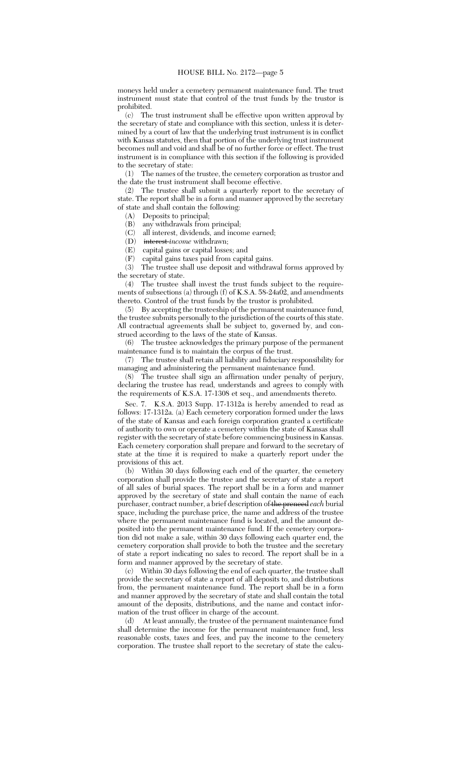moneys held under a cemetery permanent maintenance fund. The trust instrument must state that control of the trust funds by the trustor is prohibited.

(c) The trust instrument shall be effective upon written approval by the secretary of state and compliance with this section, unless it is determined by a court of law that the underlying trust instrument is in conflict with Kansas statutes, then that portion of the underlying trust instrument becomes null and void and shall be of no further force or effect. The trust instrument is in compliance with this section if the following is provided to the secretary of state:

(1) The names of the trustee, the cemetery corporation as trustor and the date the trust instrument shall become effective.

(2) The trustee shall submit a quarterly report to the secretary of state. The report shall be in a form and manner approved by the secretary of state and shall contain the following:

(A) Deposits to principal;

(B) any withdrawals from principal;

(C) all interest, dividends, and income earned;

(D) interest *income* withdrawn;

(E) capital gains or capital losses; and

(F) capital gains taxes paid from capital gains.

The trustee shall use deposit and withdrawal forms approved by the secretary of state.

(4) The trustee shall invest the trust funds subject to the requirements of subsections (a) through (f) of K.S.A. 58-24a02, and amendments thereto. Control of the trust funds by the trustor is prohibited.

(5) By accepting the trusteeship of the permanent maintenance fund, the trustee submits personally to the jurisdiction of the courts of this state. All contractual agreements shall be subject to, governed by, and construed according to the laws of the state of Kansas.

(6) The trustee acknowledges the primary purpose of the permanent maintenance fund is to maintain the corpus of the trust.

(7) The trustee shall retain all liability and fiduciary responsibility for managing and administering the permanent maintenance fund.

(8) The trustee shall sign an affirmation under penalty of perjury, declaring the trustee has read, understands and agrees to comply with the requirements of K.S.A. 17-1308 et seq., and amendments thereto.

Sec. 7. K.S.A. 2013 Supp. 17-1312a is hereby amended to read as follows: 17-1312a. (a) Each cemetery corporation formed under the laws of the state of Kansas and each foreign corporation granted a certificate of authority to own or operate a cemetery within the state of Kansas shall register with the secretary of state before commencing business in Kansas. Each cemetery corporation shall prepare and forward to the secretary of state at the time it is required to make a quarterly report under the provisions of this act.

(b) Within 30 days following each end of the quarter, the cemetery corporation shall provide the trustee and the secretary of state a report of all sales of burial spaces. The report shall be in a form and manner approved by the secretary of state and shall contain the name of each purchaser, contract number, a brief description of the preneed *each* burial space, including the purchase price, the name and address of the trustee where the permanent maintenance fund is located, and the amount deposited into the permanent maintenance fund. If the cemetery corporation did not make a sale, within 30 days following each quarter end, the cemetery corporation shall provide to both the trustee and the secretary of state a report indicating no sales to record. The report shall be in a form and manner approved by the secretary of state.

(c) Within 30 days following the end of each quarter, the trustee shall provide the secretary of state a report of all deposits to, and distributions from, the permanent maintenance fund. The report shall be in a form and manner approved by the secretary of state and shall contain the total amount of the deposits, distributions, and the name and contact information of the trust officer in charge of the account.

(d) At least annually, the trustee of the permanent maintenance fund shall determine the income for the permanent maintenance fund, less reasonable costs, taxes and fees, and pay the income to the cemetery corporation. The trustee shall report to the secretary of state the calcu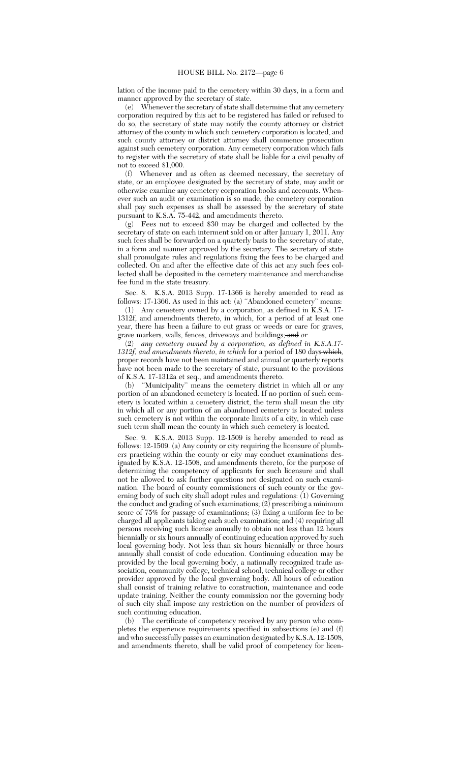lation of the income paid to the cemetery within 30 days, in a form and manner approved by the secretary of state.

(e) Whenever the secretary of state shall determine that any cemetery corporation required by this act to be registered has failed or refused to do so, the secretary of state may notify the county attorney or district attorney of the county in which such cemetery corporation is located, and such county attorney or district attorney shall commence prosecution against such cemetery corporation. Any cemetery corporation which fails to register with the secretary of state shall be liable for a civil penalty of not to exceed \$1,000.

(f) Whenever and as often as deemed necessary, the secretary of state, or an employee designated by the secretary of state, may audit or otherwise examine any cemetery corporation books and accounts. Whenever such an audit or examination is so made, the cemetery corporation shall pay such expenses as shall be assessed by the secretary of state pursuant to K.S.A. 75-442, and amendments thereto.

(g) Fees not to exceed \$30 may be charged and collected by the secretary of state on each interment sold on or after January 1, 2011. Any such fees shall be forwarded on a quarterly basis to the secretary of state, in a form and manner approved by the secretary. The secretary of state shall promulgate rules and regulations fixing the fees to be charged and collected. On and after the effective date of this act any such fees collected shall be deposited in the cemetery maintenance and merchandise fee fund in the state treasury.

Sec. 8. K.S.A. 2013 Supp. 17-1366 is hereby amended to read as follows: 17-1366. As used in this act: (a) ''Abandoned cemetery'' means:

(1) Any cemetery owned by a corporation, as defined in K.S.A. 17- 1312f, and amendments thereto, in which, for a period of at least one year, there has been a failure to cut grass or weeds or care for graves, grave markers, walls, fences, driveways and buildings; and *or*

(2) *any cemetery owned by a corporation, as defined in K.S.A.17-* 1312f, and amendments thereto, in which for a period of 180 days which, proper records have not been maintained and annual or quarterly reports have not been made to the secretary of state, pursuant to the provisions of K.S.A. 17-1312a et seq., and amendments thereto.

(b) ''Municipality'' means the cemetery district in which all or any portion of an abandoned cemetery is located. If no portion of such cemetery is located within a cemetery district, the term shall mean the city in which all or any portion of an abandoned cemetery is located unless such cemetery is not within the corporate limits of a city, in which case such term shall mean the county in which such cemetery is located.

Sec. 9. K.S.A. 2013 Supp. 12-1509 is hereby amended to read as follows: 12-1509. (a) Any county or city requiring the licensure of plumbers practicing within the county or city may conduct examinations designated by K.S.A. 12-1508, and amendments thereto, for the purpose of determining the competency of applicants for such licensure and shall not be allowed to ask further questions not designated on such examination. The board of county commissioners of such county or the governing body of such city shall adopt rules and regulations: (1) Governing the conduct and grading of such examinations; (2) prescribing a minimum score of 75% for passage of examinations; (3) fixing a uniform fee to be charged all applicants taking each such examination; and (4) requiring all persons receiving such license annually to obtain not less than 12 hours biennially or six hours annually of continuing education approved by such local governing body. Not less than six hours biennially or three hours annually shall consist of code education. Continuing education may be provided by the local governing body, a nationally recognized trade association, community college, technical school, technical college or other provider approved by the local governing body. All hours of education shall consist of training relative to construction, maintenance and code update training. Neither the county commission nor the governing body of such city shall impose any restriction on the number of providers of such continuing education.

(b) The certificate of competency received by any person who completes the experience requirements specified in subsections (e) and (f) and who successfully passes an examination designated by K.S.A. 12-1508, and amendments thereto, shall be valid proof of competency for licen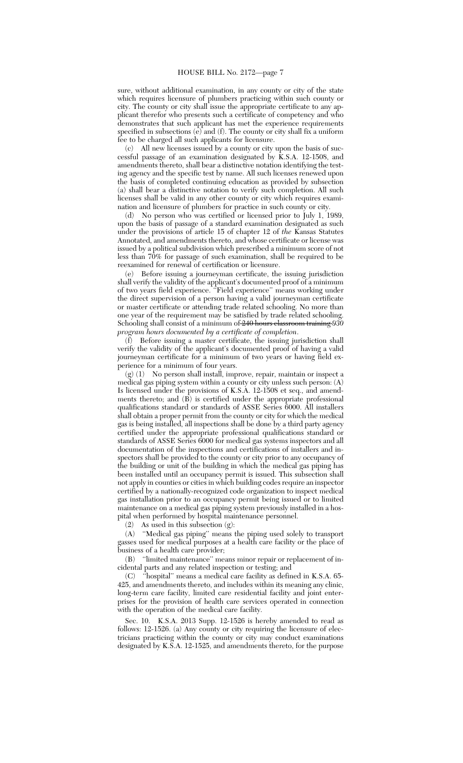sure, without additional examination, in any county or city of the state which requires licensure of plumbers practicing within such county or city. The county or city shall issue the appropriate certificate to any applicant therefor who presents such a certificate of competency and who demonstrates that such applicant has met the experience requirements specified in subsections  $(e)$  and  $(f)$ . The county or city shall fix a uniform fee to be charged all such applicants for licensure.

(c) All new licenses issued by a county or city upon the basis of successful passage of an examination designated by K.S.A. 12-1508, and amendments thereto, shall bear a distinctive notation identifying the testing agency and the specific test by name. All such licenses renewed upon the basis of completed continuing education as provided by subsection (a) shall bear a distinctive notation to verify such completion. All such licenses shall be valid in any other county or city which requires examination and licensure of plumbers for practice in such county or city.

(d) No person who was certified or licensed prior to July 1, 1989, upon the basis of passage of a standard examination designated as such under the provisions of article 15 of chapter 12 of *the* Kansas Statutes Annotated, and amendments thereto, and whose certificate or license was issued by a political subdivision which prescribed a minimum score of not less than 70% for passage of such examination, shall be required to be reexamined for renewal of certification or licensure.

(e) Before issuing a journeyman certificate, the issuing jurisdiction shall verify the validity of the applicant's documented proof of a minimum of two years field experience. ''Field experience'' means working under the direct supervision of a person having a valid journeyman certificate or master certificate or attending trade related schooling. No more than one year of the requirement may be satisfied by trade related schooling. Schooling shall consist of a minimum of 240 hours classroom training *930 program hours documented by a certificate of completion*.

(f) Before issuing a master certificate, the issuing jurisdiction shall verify the validity of the applicant's documented proof of having a valid journeyman certificate for a minimum of two years or having field experience for a minimum of four years.

(g) (1) No person shall install, improve, repair, maintain or inspect a medical gas piping system within a county or city unless such person: (A) Is licensed under the provisions of K.S.A. 12-1508 et seq., and amendments thereto; and  $(\vec{B})$  is certified under the appropriate professional qualifications standard or standards of ASSE Series 6000. All installers shall obtain a proper permit from the county or city for which the medical gas is being installed, all inspections shall be done by a third party agency certified under the appropriate professional qualifications standard or standards of ASSE Series 6000 for medical gas systems inspectors and all documentation of the inspections and certifications of installers and inspectors shall be provided to the county or city prior to any occupancy of the building or unit of the building in which the medical gas piping has been installed until an occupancy permit is issued. This subsection shall not apply in counties or cities in which building codes require an inspector certified by a nationally-recognized code organization to inspect medical gas installation prior to an occupancy permit being issued or to limited maintenance on a medical gas piping system previously installed in a hospital when performed by hospital maintenance personnel.

 $(2)$  As used in this subsection  $(g)$ :

(A) ''Medical gas piping'' means the piping used solely to transport gasses used for medical purposes at a health care facility or the place of business of a health care provider;

(B) ''limited maintenance'' means minor repair or replacement of incidental parts and any related inspection or testing; and

(C) ''hospital'' means a medical care facility as defined in K.S.A. 65- 425, and amendments thereto, and includes within its meaning any clinic, long-term care facility, limited care residential facility and joint enterprises for the provision of health care services operated in connection with the operation of the medical care facility.

Sec. 10. K.S.A. 2013 Supp. 12-1526 is hereby amended to read as follows: 12-1526. (a) Any county or city requiring the licensure of electricians practicing within the county or city may conduct examinations designated by K.S.A. 12-1525, and amendments thereto, for the purpose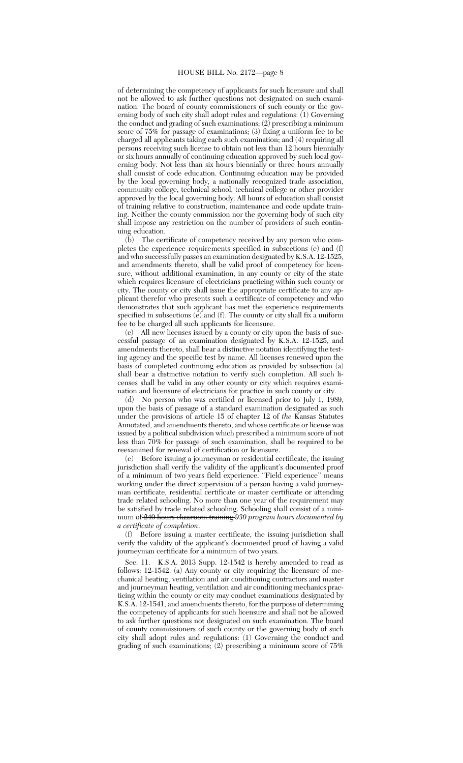of determining the competency of applicants for such licensure and shall not be allowed to ask further questions not designated on such examination. The board of county commissioners of such county or the governing body of such city shall adopt rules and regulations: (1) Governing the conduct and grading of such examinations; (2) prescribing a minimum score of 75% for passage of examinations; (3) fixing a uniform fee to be charged all applicants taking each such examination; and (4) requiring all persons receiving such license to obtain not less than 12 hours biennially or six hours annually of continuing education approved by such local governing body. Not less than six hours biennially or three hours annually shall consist of code education. Continuing education may be provided by the local governing body, a nationally recognized trade association, community college, technical school, technical college or other provider approved by the local governing body. All hours of education shall consist of training relative to construction, maintenance and code update training. Neither the county commission nor the governing body of such city shall impose any restriction on the number of providers of such continuing education.

(b) The certificate of competency received by any person who completes the experience requirements specified in subsections (e) and (f) and who successfully passes an examination designated by K.S.A. 12-1525, and amendments thereto, shall be valid proof of competency for licensure, without additional examination, in any county or city of the state which requires licensure of electricians practicing within such county or city. The county or city shall issue the appropriate certificate to any applicant therefor who presents such a certificate of competency and who demonstrates that such applicant has met the experience requirements specified in subsections  $(e)$  and  $(f)$ . The county or city shall fix a uniform fee to be charged all such applicants for licensure.

(c) All new licenses issued by a county or city upon the basis of successful passage of an examination designated by K.S.A. 12-1525, and amendments thereto, shall bear a distinctive notation identifying the testing agency and the specific test by name. All licenses renewed upon the basis of completed continuing education as provided by subsection (a) shall bear a distinctive notation to verify such completion. All such licenses shall be valid in any other county or city which requires examination and licensure of electricians for practice in such county or city.

(d) No person who was certified or licensed prior to July 1, 1989, upon the basis of passage of a standard examination designated as such under the provisions of article 15 of chapter 12 of *the* Kansas Statutes Annotated, and amendments thereto, and whose certificate or license was issued by a political subdivision which prescribed a minimum score of not less than 70% for passage of such examination, shall be required to be reexamined for renewal of certification or licensure.

(e) Before issuing a journeyman or residential certificate, the issuing jurisdiction shall verify the validity of the applicant's documented proof of a minimum of two years field experience. "Field experience" means working under the direct supervision of a person having a valid journeyman certificate, residential certificate or master certificate or attending trade related schooling. No more than one year of the requirement may be satisfied by trade related schooling. Schooling shall consist of a minimum of 240 hours classroom training *930 program hours documented by a certificate of completion*.

(f) Before issuing a master certificate, the issuing jurisdiction shall verify the validity of the applicant's documented proof of having a valid journeyman certificate for a minimum of two years.

Sec. 11. K.S.A. 2013 Supp. 12-1542 is hereby amended to read as follows: 12-1542. (a) Any county or city requiring the licensure of mechanical heating, ventilation and air conditioning contractors and master and journeyman heating, ventilation and air conditioning mechanics practicing within the county or city may conduct examinations designated by K.S.A. 12-1541, and amendments thereto, for the purpose of determining the competency of applicants for such licensure and shall not be allowed to ask further questions not designated on such examination. The board of county commissioners of such county or the governing body of such city shall adopt rules and regulations: (1) Governing the conduct and grading of such examinations; (2) prescribing a minimum score of 75%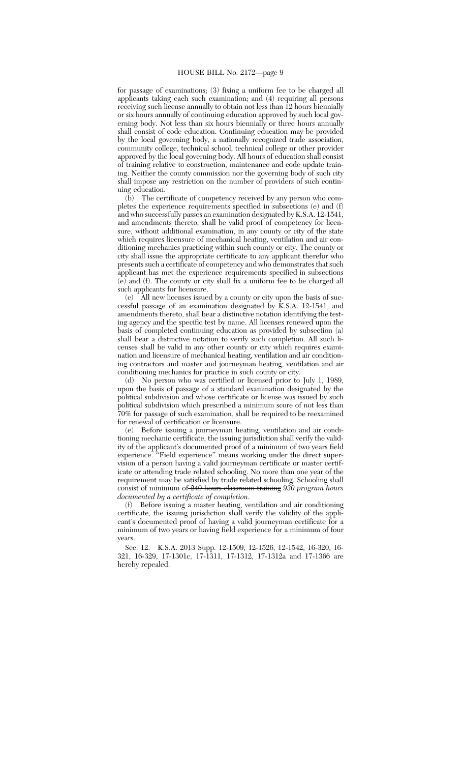for passage of examinations; (3) fixing a uniform fee to be charged all applicants taking each such examination; and (4) requiring all persons receiving such license annually to obtain not less than 12 hours biennially or six hours annually of continuing education approved by such local governing body. Not less than six hours biennially or three hours annually shall consist of code education. Continuing education may be provided by the local governing body, a nationally recognized trade association, community college, technical school, technical college or other provider approved by the local governing body. All hours of education shall consist of training relative to construction, maintenance and code update training. Neither the county commission nor the governing body of such city shall impose any restriction on the number of providers of such continuing education.

(b) The certificate of competency received by any person who completes the experience requirements specified in subsections (e) and (f) and who successfully passes an examination designated by K.S.A. 12-1541, and amendments thereto, shall be valid proof of competency for licensure, without additional examination, in any county or city of the state which requires licensure of mechanical heating, ventilation and air conditioning mechanics practicing within such county or city. The county or city shall issue the appropriate certificate to any applicant therefor who presents such a certificate of competency and who demonstrates that such applicant has met the experience requirements specified in subsections (e) and (f). The county or city shall fix a uniform fee to be charged all such applicants for licensure.

 $(c)$  All new licenses issued by a county or city upon the basis of successful passage of an examination designated by  $\overline{K}.S.A.$  12-1541, and amendments thereto, shall bear a distinctive notation identifying the testing agency and the specific test by name. All licenses renewed upon the basis of completed continuing education as provided by subsection (a) shall bear a distinctive notation to verify such completion. All such licenses shall be valid in any other county or city which requires examination and licensure of mechanical heating, ventilation and air conditioning contractors and master and journeyman heating, ventilation and air conditioning mechanics for practice in such county or city.

(d) No person who was certified or licensed prior to July 1, 1989, upon the basis of passage of a standard examination designated by the political subdivision and whose certificate or license was issued by such political subdivision which prescribed a minimum score of not less than 70% for passage of such examination, shall be required to be reexamined for renewal of certification or licensure.

(e) Before issuing a journeyman heating, ventilation and air conditioning mechanic certificate, the issuing jurisdiction shall verify the validity of the applicant's documented proof of a minimum of two years field experience. "Field experience" means working under the direct supervision of a person having a valid journeyman certificate or master certificate or attending trade related schooling. No more than one year of the requirement may be satisfied by trade related schooling. Schooling shall consist of minimum of 240 hours classroom training *930 program hours documented by a certificate of completion*.

(f) Before issuing a master heating, ventilation and air conditioning certificate, the issuing jurisdiction shall verify the validity of the applicant's documented proof of having a valid journeyman certificate for a minimum of two years or having field experience for a minimum of four years.

Sec. 12. K.S.A. 2013 Supp. 12-1509, 12-1526, 12-1542, 16-320, 16- 321, 16-329, 17-1301c, 17-1311, 17-1312, 17-1312a and 17-1366 are hereby repealed.